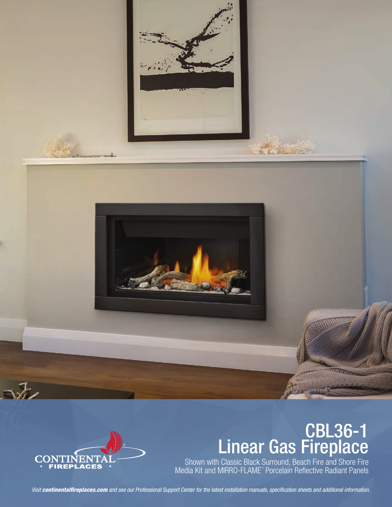



# CBL36-1 Linear Gas Fireplace

Shown with Classic Black Surround, Beach Fire and Shore Fire Media Kit and MIRRO-FLAME" Porcelain Reflective Radiant Panels

*Visit continentalfireplaces.com and see our Professional Support Center for the latest installation manuals, specification sheets and additional information.*